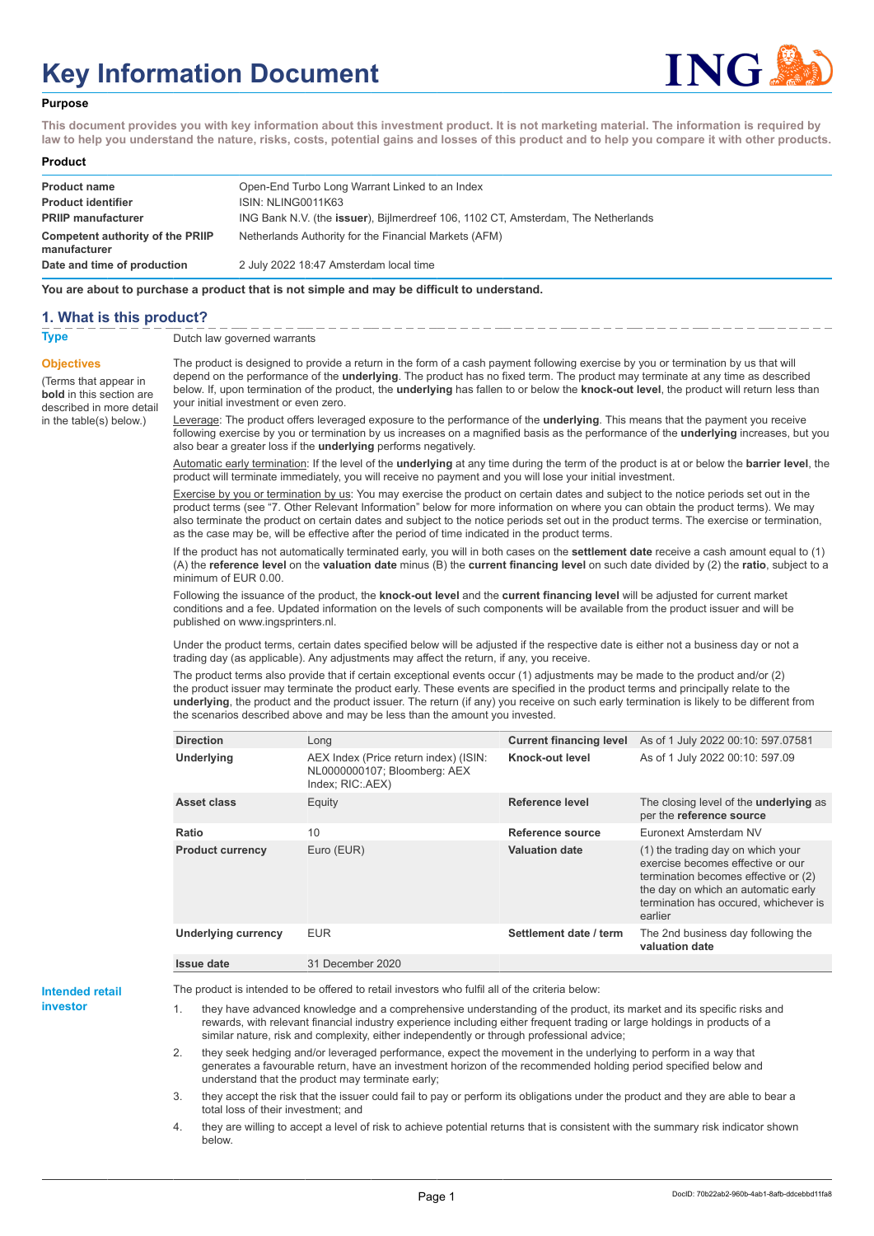# **Key Information Document**



#### **Purpose**

**This document provides you with key information about this investment product. It is not marketing material. The information is required by law to help you understand the nature, risks, costs, potential gains and losses of this product and to help you compare it with other products.**

#### **Product**

| <b>Product name</b><br><b>Product identifier</b> | Open-End Turbo Long Warrant Linked to an Index<br>ISIN: NLING0011K63              |
|--------------------------------------------------|-----------------------------------------------------------------------------------|
| <b>PRIIP manufacturer</b>                        | ING Bank N.V. (the issuer), Bijlmerdreef 106, 1102 CT, Amsterdam, The Netherlands |
| Competent authority of the PRIIP<br>manufacturer | Netherlands Authority for the Financial Markets (AFM)                             |
| Date and time of production                      | 2 July 2022 18:47 Amsterdam local time                                            |

**You are about to purchase a product that is not simple and may be difficult to understand.**

### **1. What is this product?**

**Objectives**

(Terms that appear in **bold** in this section are

in the table(s) below.)

**Type** Dutch law governed warrants

described in more detail The product is designed to provide a return in the form of a cash payment following exercise by you or termination by us that will depend on the performance of the **underlying**. The product has no fixed term. The product may terminate at any time as described below. If, upon termination of the product, the **underlying** has fallen to or below the **knock-out level**, the product will return less than your initial investment or even zero.

> Leverage: The product offers leveraged exposure to the performance of the **underlying**. This means that the payment you receive following exercise by you or termination by us increases on a magnified basis as the performance of the **underlying** increases, but you also bear a greater loss if the **underlying** performs negatively.

> Automatic early termination: If the level of the **underlying** at any time during the term of the product is at or below the **barrier level**, the product will terminate immediately, you will receive no payment and you will lose your initial investment.

Exercise by you or termination by us: You may exercise the product on certain dates and subject to the notice periods set out in the product terms (see "7. Other Relevant Information" below for more information on where you can obtain the product terms). We may also terminate the product on certain dates and subject to the notice periods set out in the product terms. The exercise or termination, as the case may be, will be effective after the period of time indicated in the product terms.

If the product has not automatically terminated early, you will in both cases on the **settlement date** receive a cash amount equal to (1) (A) the **reference level** on the **valuation date** minus (B) the **current financing level** on such date divided by (2) the **ratio**, subject to a minimum of EUR 0.00.

Following the issuance of the product, the **knock-out level** and the **current financing level** will be adjusted for current market conditions and a fee. Updated information on the levels of such components will be available from the product issuer and will be published on www.ingsprinters.nl.

Under the product terms, certain dates specified below will be adjusted if the respective date is either not a business day or not a trading day (as applicable). Any adjustments may affect the return, if any, you receive.

The product terms also provide that if certain exceptional events occur (1) adjustments may be made to the product and/or (2) the product issuer may terminate the product early. These events are specified in the product terms and principally relate to the **underlying**, the product and the product issuer. The return (if any) you receive on such early termination is likely to be different from the scenarios described above and may be less than the amount you invested.

| <b>Direction</b>           | Long                                                                                      | <b>Current financing level</b> | As of 1 July 2022 00:10: 597.07581                                                                                                                                                                        |
|----------------------------|-------------------------------------------------------------------------------------------|--------------------------------|-----------------------------------------------------------------------------------------------------------------------------------------------------------------------------------------------------------|
| <b>Underlying</b>          | AEX Index (Price return index) (ISIN:<br>NL0000000107; Bloomberg: AEX<br>Index; RIC: AEX) | Knock-out level                | As of 1 July 2022 00:10: 597.09                                                                                                                                                                           |
| Asset class                | Equity                                                                                    | Reference level                | The closing level of the <b>underlying</b> as<br>per the reference source                                                                                                                                 |
| Ratio                      | 10                                                                                        | Reference source               | Euronext Amsterdam NV                                                                                                                                                                                     |
| <b>Product currency</b>    | Euro (EUR)                                                                                | <b>Valuation date</b>          | (1) the trading day on which your<br>exercise becomes effective or our<br>termination becomes effective or (2)<br>the day on which an automatic early<br>termination has occured, whichever is<br>earlier |
| <b>Underlying currency</b> | <b>EUR</b>                                                                                | Settlement date / term         | The 2nd business day following the<br>valuation date                                                                                                                                                      |
| Issue date                 | 31 December 2020                                                                          |                                |                                                                                                                                                                                                           |

**Intended retail investor**

The product is intended to be offered to retail investors who fulfil all of the criteria below:

they have advanced knowledge and a comprehensive understanding of the product, its market and its specific risks and rewards, with relevant financial industry experience including either frequent trading or large holdings in products of a similar nature, risk and complexity, either independently or through professional advice;

2. they seek hedging and/or leveraged performance, expect the movement in the underlying to perform in a way that generates a favourable return, have an investment horizon of the recommended holding period specified below and understand that the product may terminate early;

3. they accept the risk that the issuer could fail to pay or perform its obligations under the product and they are able to bear a total loss of their investment; and

4. they are willing to accept a level of risk to achieve potential returns that is consistent with the summary risk indicator shown below.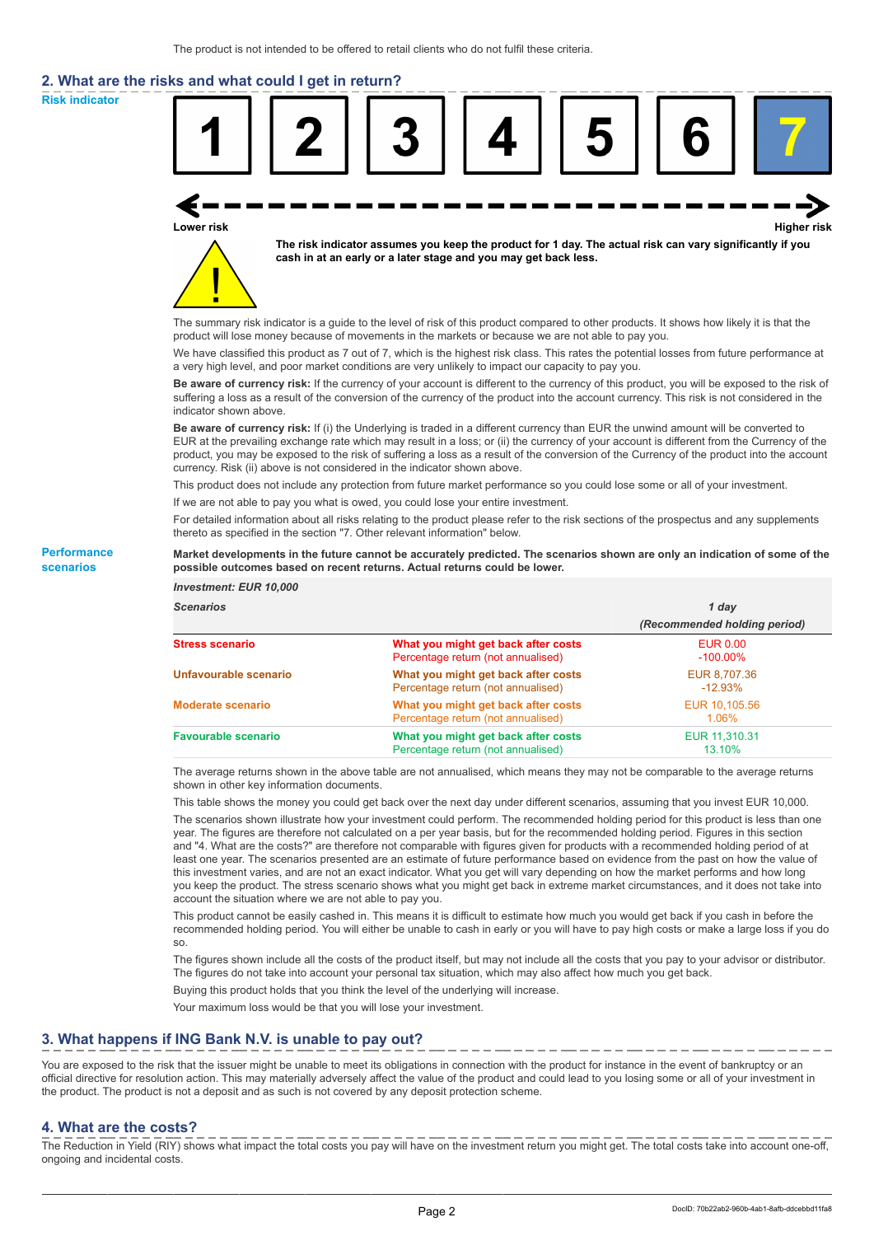# **2. What are the risks and what could I get in return?**

**Risk indicator**

**Performance scenarios**



thereto as specified in the section "7. Other relevant information" below.

#### **Market developments in the future cannot be accurately predicted. The scenarios shown are only an indication of some of the possible outcomes based on recent returns. Actual returns could be lower.**

| <b>Investment: EUR 10,000</b> |                                                                           |                                |
|-------------------------------|---------------------------------------------------------------------------|--------------------------------|
| <b>Scenarios</b>              |                                                                           | 1 day                          |
|                               |                                                                           | (Recommended holding period)   |
| <b>Stress scenario</b>        | What you might get back after costs<br>Percentage return (not annualised) | <b>EUR 0.00</b><br>$-100.00\%$ |
| Unfavourable scenario         | What you might get back after costs<br>Percentage return (not annualised) | EUR 8.707.36<br>$-12.93%$      |
| <b>Moderate scenario</b>      | What you might get back after costs<br>Percentage return (not annualised) | EUR 10.105.56<br>$1.06\%$      |
| <b>Favourable scenario</b>    | What you might get back after costs<br>Percentage return (not annualised) | EUR 11,310.31<br>13.10%        |

The average returns shown in the above table are not annualised, which means they may not be comparable to the average returns shown in other key information documents.

This table shows the money you could get back over the next day under different scenarios, assuming that you invest EUR 10,000.

The scenarios shown illustrate how your investment could perform. The recommended holding period for this product is less than one year. The figures are therefore not calculated on a per year basis, but for the recommended holding period. Figures in this section and "4. What are the costs?" are therefore not comparable with figures given for products with a recommended holding period of at least one year. The scenarios presented are an estimate of future performance based on evidence from the past on how the value of this investment varies, and are not an exact indicator. What you get will vary depending on how the market performs and how long you keep the product. The stress scenario shows what you might get back in extreme market circumstances, and it does not take into account the situation where we are not able to pay you.

This product cannot be easily cashed in. This means it is difficult to estimate how much you would get back if you cash in before the recommended holding period. You will either be unable to cash in early or you will have to pay high costs or make a large loss if you do so.

The figures shown include all the costs of the product itself, but may not include all the costs that you pay to your advisor or distributor. The figures do not take into account your personal tax situation, which may also affect how much you get back.

Buying this product holds that you think the level of the underlying will increase.

Your maximum loss would be that you will lose your investment.

## **3. What happens if ING Bank N.V. is unable to pay out?**

You are exposed to the risk that the issuer might be unable to meet its obligations in connection with the product for instance in the event of bankruptcy or an official directive for resolution action. This may materially adversely affect the value of the product and could lead to you losing some or all of your investment in the product. The product is not a deposit and as such is not covered by any deposit protection scheme.

### **4. What are the costs?**

The Reduction in Yield (RIY) shows what impact the total costs you pay will have on the investment return you might get. The total costs take into account one-off, ongoing and incidental costs.